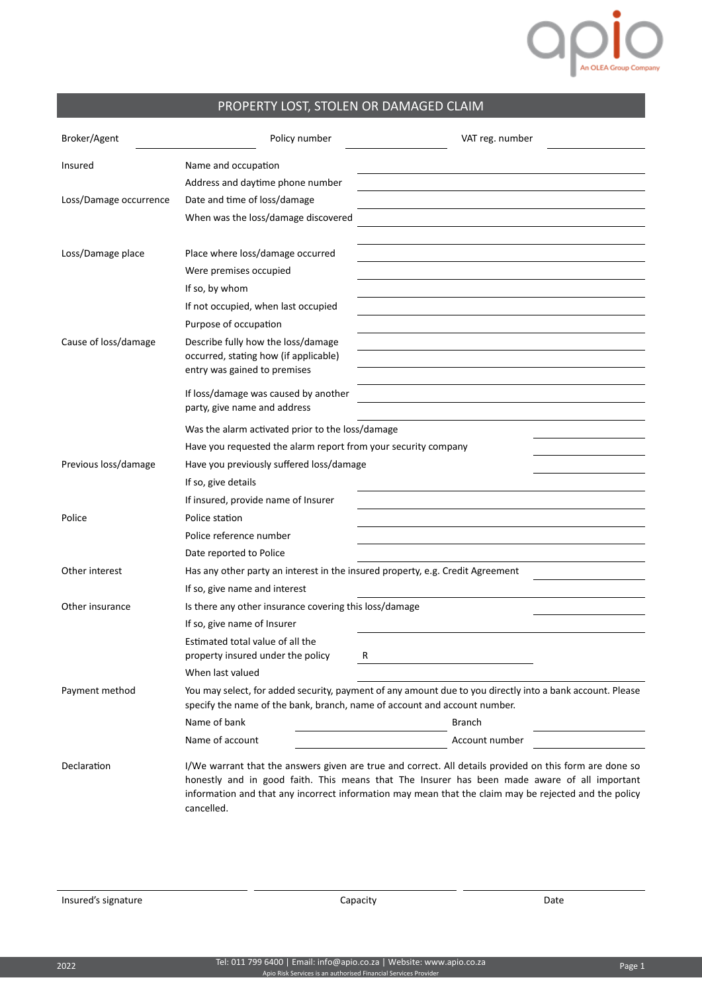## **OPP**

## PROPERTY LOST, STOLEN OR DAMAGED CLAIM

| Broker/Agent           | Policy number                                                                                                                                                                          | VAT reg. number                                                                                                                                                                                                                                                                                                  |  |  |  |  |
|------------------------|----------------------------------------------------------------------------------------------------------------------------------------------------------------------------------------|------------------------------------------------------------------------------------------------------------------------------------------------------------------------------------------------------------------------------------------------------------------------------------------------------------------|--|--|--|--|
| Insured                | Name and occupation                                                                                                                                                                    |                                                                                                                                                                                                                                                                                                                  |  |  |  |  |
|                        | Address and daytime phone number                                                                                                                                                       |                                                                                                                                                                                                                                                                                                                  |  |  |  |  |
| Loss/Damage occurrence | Date and time of loss/damage                                                                                                                                                           |                                                                                                                                                                                                                                                                                                                  |  |  |  |  |
|                        | When was the loss/damage discovered                                                                                                                                                    |                                                                                                                                                                                                                                                                                                                  |  |  |  |  |
|                        |                                                                                                                                                                                        |                                                                                                                                                                                                                                                                                                                  |  |  |  |  |
| Loss/Damage place      | Place where loss/damage occurred                                                                                                                                                       |                                                                                                                                                                                                                                                                                                                  |  |  |  |  |
|                        | Were premises occupied                                                                                                                                                                 |                                                                                                                                                                                                                                                                                                                  |  |  |  |  |
|                        | If so, by whom                                                                                                                                                                         |                                                                                                                                                                                                                                                                                                                  |  |  |  |  |
|                        | If not occupied, when last occupied                                                                                                                                                    |                                                                                                                                                                                                                                                                                                                  |  |  |  |  |
|                        | Purpose of occupation                                                                                                                                                                  |                                                                                                                                                                                                                                                                                                                  |  |  |  |  |
| Cause of loss/damage   | Describe fully how the loss/damage                                                                                                                                                     |                                                                                                                                                                                                                                                                                                                  |  |  |  |  |
|                        | occurred, stating how (if applicable)<br>entry was gained to premises                                                                                                                  |                                                                                                                                                                                                                                                                                                                  |  |  |  |  |
|                        |                                                                                                                                                                                        |                                                                                                                                                                                                                                                                                                                  |  |  |  |  |
|                        | If loss/damage was caused by another<br>party, give name and address                                                                                                                   |                                                                                                                                                                                                                                                                                                                  |  |  |  |  |
|                        |                                                                                                                                                                                        |                                                                                                                                                                                                                                                                                                                  |  |  |  |  |
|                        | Was the alarm activated prior to the loss/damage                                                                                                                                       |                                                                                                                                                                                                                                                                                                                  |  |  |  |  |
|                        | Have you requested the alarm report from your security company                                                                                                                         |                                                                                                                                                                                                                                                                                                                  |  |  |  |  |
| Previous loss/damage   | Have you previously suffered loss/damage                                                                                                                                               |                                                                                                                                                                                                                                                                                                                  |  |  |  |  |
|                        | If so, give details                                                                                                                                                                    |                                                                                                                                                                                                                                                                                                                  |  |  |  |  |
|                        | If insured, provide name of Insurer<br>Police station                                                                                                                                  |                                                                                                                                                                                                                                                                                                                  |  |  |  |  |
| Police                 |                                                                                                                                                                                        |                                                                                                                                                                                                                                                                                                                  |  |  |  |  |
|                        | Police reference number                                                                                                                                                                |                                                                                                                                                                                                                                                                                                                  |  |  |  |  |
| Other interest         | Date reported to Police                                                                                                                                                                |                                                                                                                                                                                                                                                                                                                  |  |  |  |  |
|                        | Has any other party an interest in the insured property, e.g. Credit Agreement<br>If so, give name and interest                                                                        |                                                                                                                                                                                                                                                                                                                  |  |  |  |  |
| Other insurance        | Is there any other insurance covering this loss/damage                                                                                                                                 |                                                                                                                                                                                                                                                                                                                  |  |  |  |  |
|                        | If so, give name of Insurer                                                                                                                                                            |                                                                                                                                                                                                                                                                                                                  |  |  |  |  |
|                        | Estimated total value of all the                                                                                                                                                       |                                                                                                                                                                                                                                                                                                                  |  |  |  |  |
|                        | property insured under the policy                                                                                                                                                      | к                                                                                                                                                                                                                                                                                                                |  |  |  |  |
|                        | When last valued                                                                                                                                                                       |                                                                                                                                                                                                                                                                                                                  |  |  |  |  |
| Payment method         | You may select, for added security, payment of any amount due to you directly into a bank account. Please<br>specify the name of the bank, branch, name of account and account number. |                                                                                                                                                                                                                                                                                                                  |  |  |  |  |
|                        | Name of bank                                                                                                                                                                           | <b>Branch</b>                                                                                                                                                                                                                                                                                                    |  |  |  |  |
|                        | Name of account                                                                                                                                                                        | Account number                                                                                                                                                                                                                                                                                                   |  |  |  |  |
| Declaration            | cancelled.                                                                                                                                                                             | I/We warrant that the answers given are true and correct. All details provided on this form are done so<br>honestly and in good faith. This means that The Insurer has been made aware of all important<br>information and that any incorrect information may mean that the claim may be rejected and the policy |  |  |  |  |